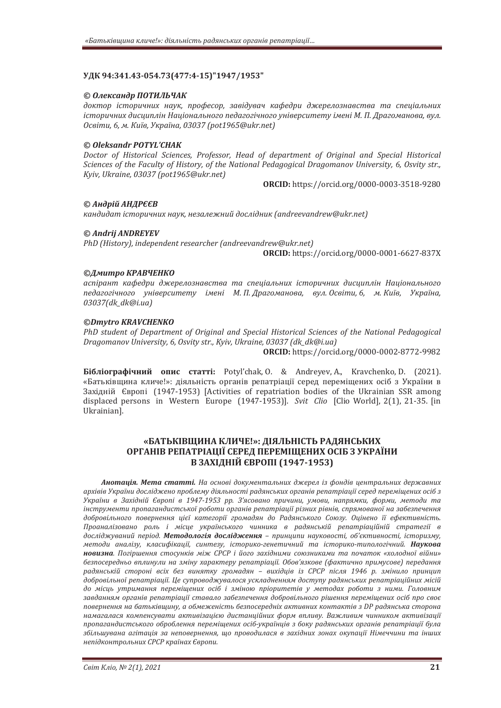## **ʢʓʙͻͶǣ͵Ͷ1ǤͶ͵-ͲͷͶǤ͵ȋͶǣͶ-1ͷȌ̶1ͻͶȀ1ͻͷ͵̶**

#### © Олександр ПОТИЛЬЧАК

доктор *iсторичних наук, професор, завідувач кафедри джерелознавства та спеціальних* iсторичних дисциплiн Нацiонального педагогiчного унiверситету iменi М. П. Драгоманова, вул.  $O$ світи, 6, м. Київ, Україна, 03037 (pot1965@ukr.net)

#### *© Oleksandr POTYL'CHAK*

Doctor of Historical Sciences, Professor, Head of department of Original and Special Historical *Sciences of the Faculty of History, of the National Pedagogical Dragomanov University, 6, Osvity str., Kviv. Ukraine. 03037 (pot1965@ukr.net)* 

**ǣ** https://orcid.org/0000-0003-3518-9280

## © Андрій АНДРЄЄВ

кандидат *icторичних наук, незалежний дослідник* (andreevandrew@ukr.net)

## *© Andrij ANDREYEV*

PhD (History), independent researcher (andreevandrew@ukr.net)

**ORCID:** https://orcid.org/0000-0001-6627-837X

## ©Дмитро КРАВЧЕНКО

*˃˔˒˪˓˃ː˕ ˍ˃˗ˈˇ˓ˋ ˇˉˈ˓ˈˎˑˊː˃˅˔˕˅˃ ˕˃ ˔˒ˈ˙˪˃ˎ˟ːˋ˘ ˪˔˕ˑ˓ˋ˚ːˋ˘ ˇˋ˔˙ˋ˒ˎ˪ː ʜ˃˙˪ˑː˃ˎ˟ːˑˆˑ* педагогічного університету імені М. П. Драгоманова, вул. Освіти, 6, м. Київ, Україна, *03037(dk dk*@*i.ua)* 

## *©Dmytro KRAVCHENKO*

PhD student of Department of Original and Special Historical Sciences of the National Pedagogical *Dragomanov University, 6, Osvity str., Kyiv, Ukraine, 03037 (dk dk@i.ua)* 

**ǣ** https://orcid.org/0000-0002-8772-9982

**Бібліографічний опис статті:** Potyl'chak, O. & Andreyev, A., Kravchenko, D. (2021). «Батьківщина кличе!»: діяльність органів репатріації серед переміщених осіб з України в Західній Європі (1947-1953) [Activities of repatriation bodies of the Ukrainian SSR among displaced persons in Western Europe (1947-1953)]. *Syit Clio* [Clio World], 2(1), 21-35. [in Ukrainian].

# «БАТЬКІВЩИНА КЛИЧЕ!»: ДІЯЛЬНІСТЬ РАДЯНСЬКИХ **<u><del>ОРГАНІВ РЕПАТРІАЦІЇ СЕРЕД ПЕРЕМІЩЕНИХ ОСІБ З УКРАЇНИ</u>**</u></del> **В ЗАХІДНІЙ ЄВРОПІ (1947-1953)**

**Анотація. Мета статті.** На основі документальних джерел із фондів центральних державних архівів України досліджено проблему діяльності радянських органів репатріації серед переміщених осіб з України в Західній Європі в 1947-1953 рр. З'ясовано причини, умови, напрямки, форми, методи та *iнструменти пропагандистської роботи органів репатріації різних рівнів, спрямованої на забезпечення* добровільного повернення цієї категорії громадян до Радянського Союзу. Оцінено її ефективність. Проаналізовано роль *і місце українського чинника в радянській репатріаційній стратегії в* досліджуваний період. Методологія дослідження - принципи науковості, об'єктивності, історизму, методи аналізу, класифікації, синтезу, історико-генетичний та історико-типологічний. Наукова **новизна**. Погіршення стосунків між СРСР і його західними союзниками та початок «холодної війни» безпосередньо вплинули на зміну характеру репатріації. Обов'язкове (фактично примусове) передання  $padянській стороні всіх без винятку громадян - вихідців із СРСР після 1946 р. змінило принции$ добровільної репатріації. Це супроводжувалося ускладненням доступу радянських репатріаційних місій до місць утримання переміщених осіб і зміною пріоритетів у методах роботи з ними. Головним завданням органів репатріації ставало забезпечення добровільного рішення перемішених осіб про своє повернення на батьківщину, а обмеженість безпосередніх активних контактів з DP радянська сторона намагалася компенсувати активізацією дистанційних форм впливу. Важливим чинником активізації пропагандистського оброблення переміщених осіб-українців з боку радянських органів репатріації була *збільшувана агітація за неповернення, що проводилася в західних зонах окупації Німеччини та інших* **иепідконтрольних СРСР країнах Європи.**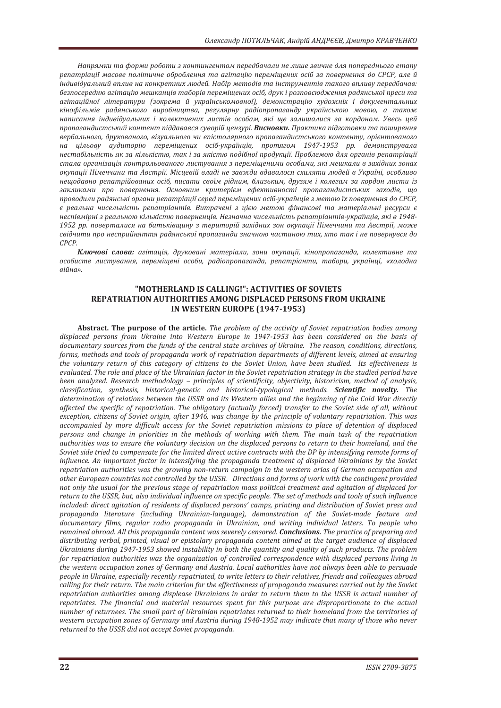Напрямки та форми роботи з контингентом передбачали не лише звичне для попереднього етапу репатріації масове політичне оброблення та агітацію переміщених осіб за повернення до СРСР, але й *iндивідуальний вплив на конкретних людей. Набір методів та інструментів такого впливу передбачав:* безпосередню агітацію мешканців таборів переміщених осіб, друк і розповсюдження радянської преси та агітаційної літератури (зокрема й українськомовної), демонстрацію художніх і документальних кінофільмів радянського виробництва, регулярну радіопропаганду українською мовою, а також написання *індивідуальних і колективних листів особам*, які ще залишалися за кордоном. Увесь цей лропагандистський контент піддавався суворій цензурі. **Висновки.** Практика підготовки та поширення вербального, друкованого, візуального чи епістолярного пропагандистського контенту, орієнтованого *ː˃ ˙˪ˎ˟ˑ˅˖ ˃˖ˇˋ˕ˑ˓˪ˡ ˒ˈ˓ˈˏ˪˜ˈːˋ˘ ˑ˔˪˄-˖ˍ˓˃˫ː˙˪˅ǡ ˒˓ˑ˕ˢˆˑˏ ͷͿͺͽ-ͷͿͻ ˓˓Ǥ ˇˈˏˑː˔˕˓˖˅˃ˎ˃* **нестабільність як за кількістю, так і за якістю подібної продукції. Проблемою для органів репатріації** стала організація контрольованого листування з переміщеними особами, які мешкали в західних зонах **окупації Німеччини та Австрії. Місцевій владі не завжди вдавалося схиляти людей в Україні, особливо** нещодавно репатрійованих осіб, писати своїм рідним, близьким, друзям і колегам за кордон листи із закликами про повернення. Основним критерієм ефективності пропагандистських заходів, що  $n$ *юоводили радянські органи репатріації серед перемішених осіб-україниів з метою їх повернення до СРСР.*  $ε$  реальна чисельність репатріантів. Витрачені з цією метою фінансові та матеріальні ресурси є неспівмірні з реальною кількістю поверненців. Незначна чисельність репатріантів-українців, які в 1948-1952 рр. поверталися на батьківщину з територій західних зон окупації Німеччини та Австрії, може свідчити про несприйняття радянської пропаганди значною частиною тих, хто так і не повернувся до *ʠʟʠʟǤ*

Ключові слова: агітація, друковані матеріали, зони окупації, кінопропаганда, колективне та особисте листування, переміщені особи, радіопропаганда, репатріанти, табори, українці, «холодна  $\ddot{\theta}$ 

## "MOTHERLAND IS CALLING!": ACTIVITIES OF SOVIETS **REPATRIATION AUTHORITIES AON ISPAE PERSONS RO URAINE IN WESTERN EUROPE (1947-1953)**

Abstract. The purpose of the article. The problem of the activity of Soviet repatriation bodies among *displaced persons from Ukraine into Western Europe in 1947-1953 has been considered on the basis of documentary sources from the funds of the central state archives of Ukraine. The reason, conditions, directions, forms, methods and tools of propaganda work of repatriation departments of different levels, aimed at ensuring* the voluntary return of this category of citizens to the Soviet Union, have been studied. Its effectiveness is evaluated. The role and place of the Ukrainian factor in the Soviet repatriation strategy in the studied period have *been analyzed. Research methodology - principles of scientificity, objectivity, historicism, method of analysis, classification, synthesis, historical-genetic and historical-typological methods. Scientific novelty. The* determination of relations between the USSR and its Western allies and the beginning of the Cold War directly *affected the specific of repatriation. The obligatory (actually forced) transfer to the Soviet side of all, without exception, citizens of Soviet origin, after 1946, was change by the principle of voluntary repatriation. This was* accompanied by more difficult access for the Soviet repatriation missions to place of detention of displaced *persons and change in priorities in the methods of working with them. The main task of the repatriation* authorities was to ensure the voluntary decision on the displaced persons to return to their homeland, and the Soviet side tried to compensate for the limited direct active contracts with the DP by intensifying remote forms of *influence. An important factor in intensifying the propaganda treatment of displaced Ukrainians by the Soviet* repatriation authorities was the growing non-return campaign in the western arias of German occupation and *other European countries not controlled by the USSR. Directions and forms of work with the contingent provided* not only the usual for the previous stage of repatriation mass political treatment and agitation of displaced for return to the USSR, but, also individual influence on specific people. The set of methods and tools of such influence *included: direct agitation of residents of displaced persons' camps, printing and distribution of Soviet press and propaganda literature (including Ukrainian-language), demonstration of the Soviet-made feature and* documentary films, regular radio propaganda in Ukrainian, and writing individual letters. To people who remained abroad. All this propaganda content was severely censored. Conclusions. The practice of preparing and distributing verbal, printed, visual or epistolary propaganda content aimed at the target audience of displaced *Ukrainians during 1947-1953 showed instability in both the quantity and quality of such products. The problem* for repatriation authorities was the organization of controlled correspondence with displaced persons living in the western occupation zones of Germany and Austria. Local authorities have not always been able to persuade *neonle in Ukraine, especially recently renatriated, to write letters to their relatives, friends and collegaues abroad* calling for their return. The main criterion for the effectiveness of propaganda measures carried out by the Soviet repatriation authorities among displease Ukrainians in order to return them to the USSR is actual number of repatriates. The financial and material resources spent for this purpose are disproportionate to the actual *number of returnees. The small part of Ukrainian repatriates returned to their homeland from the territories of western occupation zones of Germany and Austria during 1948-1952 may indicate that many of those who never returned to the USSR did not accept Soviet propaganda.*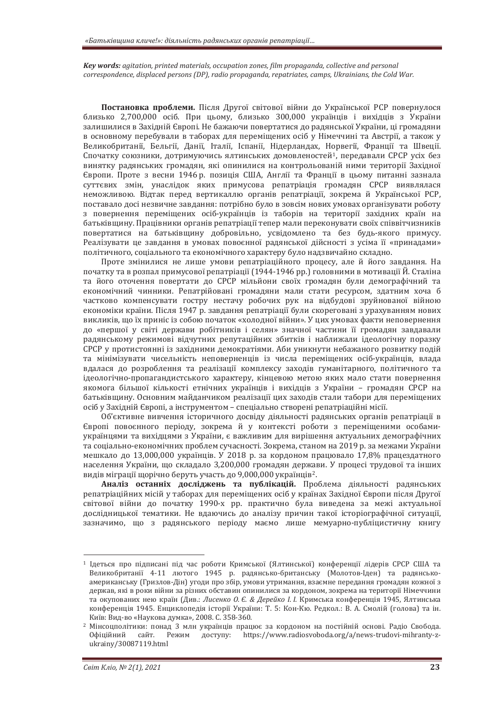*Key words: agitation, printed materials, occupation zones, film propaganda, collective and personal correspondence, displaced persons (DP), radio propaganda, repatriates, camps, Ukrainians, the Cold War.* 

Постановка проблеми. Після Другої світової війни до Української РСР повернулося близько 2,700,000 осіб. При цьому, близько 300,000 українців і вихідців з України залишилися в Західній Європі. Не бажаючи повертатися до радянської України, ці громадяни в основному перебували в таборах для переміщених осіб у Німеччині та Австрії, а також у Великобританії, Бельгії, Данії, Італії, Іспанії, Нідерландах, Норвегії, Франції та Швеції. Спочатку союзники, дотримуючись ялтинських домовленостей<sup>1</sup>, передавали СРСР усіх без винятку радянських громадян, які опинилися на контрольованій ними території Західної Європи. Проте з весни 1946 р. позиція США, Англії та Франції в цьому питанні зазнала суттєвих змін, унаслідок яких примусова репатріація громадян СРСР виявлялася неможливою. Відтак перед вертикаллю органів репатріації, зокрема й Української РСР, поставало досі незвичне завдання: потрібно було в зовсім нових умовах організувати роботу з повернення переміщених осіб-українців із таборів на території західних країн на батьківщину. Працівники органів репатріації тепер мали переконувати своїх співвітчизників повертатися на батьківщину добровільно, усвідомлено та без будь-якого примусу. Реалізувати це завдання в умовах повоєнної радянської дійсності з усіма її «принадами» політичного, соціального та економічного характеру було надзвичайно складно.

Проте змінилися не лише умови репатріаційного процесу, але й його завдання. На початку та в розпал примусової репатріації (1944-1946 рр.) головними в мотивації Й. Сталіна та його оточення повертати до СРСР мільйони своїх громадян були демографічний та економічний чинники. Репатрійовані громадяни мали стати ресурсом, здатним хоча б частково компенсувати гостру нестачу робочих рук на відбудові зруйнованої війною економіки країни. Після 1947 р. завдання репатріації були скореговані з урахуванням нових викликів, що їх приніс із собою початок «холодної війни». У цих умовах факти неповернення до «першої у світі держави робітників і селян» значної частини її громадян завдавали радянському режимові відчутних репутаційних збитків і наближали ідеологічну поразку СРСР у протистоянні із західними демократіями. Аби уникнути небажаного розвитку подій та мінімізувати чисельність неповерненців із числа переміщених осіб-українців, влада вдалася до розроблення та реалізації комплексу заходів гуманітарного, політичного та ідеологічно-пропагандистського характеру, кінцевою метою яких мало стати повернення якомога більшої кількості етнічних українців і вихідців з України – громадян СРСР на батьківщину. Основним майданчиком реалізації цих заходів стали табори для переміщених осіб у Західній Європі, а інструментом - спеціально створені репатріаційні місії.

Об'єктивне вивчення історичного досвіду діяльності радянських органів репатріації в Свропі повоєнного періоду, зокрема й у контексті роботи з переміщеними особамиукраїнцями та вихідцями з України, є важливим для вирішення актуальних демографічних та соціально-економічних проблем сучасності. Зокрема, станом на 2019 р. за межами України мешкало до 13,000,000 українців. У 2018 р. за кордоном працювало 17,8% працездатного населення України, що складало 3,200,000 громадян держави. У процесі трудової та інших вилів міграції щорічно беруть участь до 9.000.000 українців<sup>2</sup>.

**Аналіз останніх досліджень та публікацій.** Проблема діяльності радянських репатріаційних місій у таборах для переміщених осіб у країнах Західної Європи після Другої світової війни до початку 1990-х рр. практично була виведена за межі актуальної дослідницької тематики. Не вдаючись до аналізу причин такої історіографічної ситуації, зазначимо, що з радянського періоду маємо лише мемуарно-публіцистичну книгу

<sup>&</sup>lt;sup>1</sup> Ідеться про підписані під час роботи Кримської (Ялтинської) конференції лідерів СРСР США та Великобританії 4-11 лютого 1945 р. радянсько-британську (Молотов-Іден) та радянськоамериканську (Гризлов-Дін) угоди про збір, умови утримання, взаємне передання громадян кожної з держав, які в роки війни за різних обставин опинилися за кордоном, зокрема на території Німеччини та окупованих нею країн (Див.: Лисенко О. Є. & Дерейко І. I. Кримська конференція 1945, Ялтинська конференція 1945. Енциклопедія історії України: Т. 5: Кон-Кю. Редкол.: В. А. Смолій (голова) та ін. Київ: Вид-во «Наукова думка», 2008. С. 358-360.<br><sup>2</sup> Мінсоцполітики: понад 3 млн українців працює за кордоном на постійній основі. Радіо Свобода.

Oфіційний сайт. Режим доступу: https://www.radiosyoboda.org/a/news-trudovi-mihranty-zukrainy/30087119.html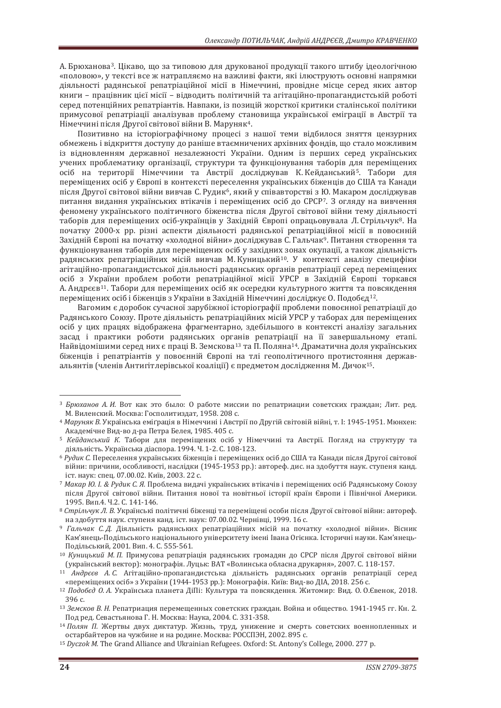А. Брюханова<sup>3</sup>. Цікаво, що за типовою для друкованої продукції такого штибу ідеологічною «половою», у тексті все ж натрапляємо на важливі факти, які ілюструють основні напрямки діяльності радянської репатріаційної місії в Німеччині, провідне місце серед яких автор книги - працівник цієї місії - відводить політичній та агітаційно-пропагандистській роботі серед потенційних репатріантів. Навпаки, із позицій жорсткої критики сталінської політики примусової репатріації аналізував проблему становища української еміграції в Австрії та Німеччині після Другої світової війни В. Маруняк<sup>4</sup>.

Позитивно на історіографічному процесі з нашої теми відбилося зняття цензурних обмежень і відкриття доступу до раніше втаємничених архівних фондів, що стало можливим із вілновленням державної незалежності України. Одним із перших серед українських учених проблематику організації, структури та функціонування таборів для переміщених осіб на території Німеччини та Австрії досліджував К. Кейданський<sup>5</sup>. Табори для переміщених осіб у Європі в контексті переселення українських біженців до США та Канади після Другої світової війни вивчав С. Рудик<sup>6</sup>, який у співавторстві з Ю. Макаром досліджував питання видання українських втікачів і переміщених осіб до СРСР7. З огляду на вивчення феномену українського політичного біженства після Другої світової війни тему діяльності таборів для переміщених осіб-українців у Західній Європі опрацьовувала Л. Стрільчук<sup>8</sup>. На початку 2000-х рр. різні аспекти діяльності радянської репатріаційної місії в повоєнній Західній Європі на початку «холодної війни» досліджував С. Гальчак<sup>о</sup>. Питання створення та функціонування таборів для переміщених осіб у західних зонах окупації, а також діяльність радянських репатріаційних місій вивчав М. Куницький<sup>10</sup>. У контексті аналізу специфіки агітаційно-пропагандистської діяльності радянських органів репатріації серед перемішених осіб з України проблем роботи репатріаційної місії УРСР в Західній Європі торкався А. Андрєєв<sup>11</sup>. Табори для переміщених осіб як осередки культурного життя та повсякдення переміщених осіб і біженців з України в Західній Німеччині досліджує О. Подобєд<sup>12</sup>.

Вагомим є доробок сучасної зарубіжної історіографії проблеми повоєнної репатріації до Радянського Союзу. Проте діяльність репатріаційних місій УРСР у таборах для переміщених осіб у цих працях відображена фрагментарно, здебільшого в контексті аналізу загальних засад і практики роботи радянських органів репатріації на її завершальному етапі. Найвідомішими серед них є праці В. Земскова<sup>13</sup> та П. Поляна<sup>14</sup>. Драматична доля українських біженців і репатріантів у повоєнній Європі на тлі геополітичного протистояння державальянтів (членів Антигітлерівської коаліції) є предметом дослідження М. Дичок<sup>15</sup>.

<sup>&</sup>lt;sup>3</sup> Брюханов А. И. Вот как это было: О работе миссии по репатриации советских граждан; Лит. ред. М. Виленский. Москва: Госполитиздат. 1958. 208 с.

<sup>&</sup>lt;sup>4</sup> Маруняк В. Українська еміґрація в Німеччині і Австрії по Другій світовій війні, т. І: 1945-1951. Мюнхен: Академічне Вид-во д-ра Петра Белея, 1985. 405 с.

<sup>&</sup>lt;sup>5</sup> *Кейданський К.* Табори для переміщених осіб у Німеччині та Австрії. Погляд на структуру та діяльність. Українська діаспора. 1994. Ч. 1-2. С. 108-123.

<sup>&</sup>lt;sup>6</sup> Рудик С. Переселення українських біженців і переміщених осіб до США та Канади після Другої світової війни: причини, особливості, наслідки (1945-1953 рр.): автореф. дис. на здобуття наук. ступеня канд. іст. наук: спец. 07.00.02. Київ. 2003. 22 с.

<sup>&</sup>lt;sup>7</sup> Макар Ю. I. & Рудик С. Я. Проблема видачі українських втікачів і перемішених осіб Радянському Союзу після Лругої світової війни. Питання нової та новітньої історії країн Європи і Північної Америки. 1995. Вип.4. Ч.2. С. 141-146.

<sup>&</sup>lt;sup>8</sup> Стрільчук Л. В. Українські політичні біженці та перемішені особи після Другої світової війни: автореф. на здобуття наук. ступеня канд. іст. наук: 07.00.02. Чернівці, 1999. 16 с.

<sup>&</sup>lt;sup>9</sup> Гальчак С.Д. Діяльність радянських репатріаційних місій на початку «холодної війни». Вісник Кам'янець-Подільського національного університету імені Івана Огієнка. Історичні науки. Кам'янець-Подільський, 2001. Вип. 4. С. 555-561.<br><sup>10</sup> Куницький М. П. Примусова репатріація радянських громадян до СРСР після Другої світової війни

<sup>(</sup>український вектор): монографія. Луцьк: ВАТ «Волинська обласна друкарня», 2007. С. 118-157.<br><sup>11</sup> *Андреєв А. С.* Агітаційно-пропагандистська діяльність радянських органів репатріації серед «переміщених осіб» з України (1944-1953 рр.): Монографія. Київ: Вид-во ДІА, 2018. 256 с.

<sup>&</sup>lt;sup>12</sup> Подобед О.А. Українська планета ДіПі: Культура та повсякдення. Житомир: Вид. О. О.Євенок, 2018.  $396c$ 

<sup>&</sup>lt;sup>13</sup> Земсков В. Н. Репатриация перемещенных советских граждан. Война и общество. 1941-1945 гг. Кн. 2. Под ред. Севастьянова Г. Н. Москва: Наука, 2004. С. 331-358.

<sup>&</sup>lt;sup>14</sup> Полян П. Жертвы двух диктатур. Жизнь, труд, унижение и смерть советских военнопленных и остарбайтеров на чужбине и на родине. Москва: РОССПЭН, 2002. 895 с.<br><sup>15</sup> *Dyczok M.* The Grand Alliance and Ukrainian Refugees. Oxford: St. Antony's College, 2000. 277 p.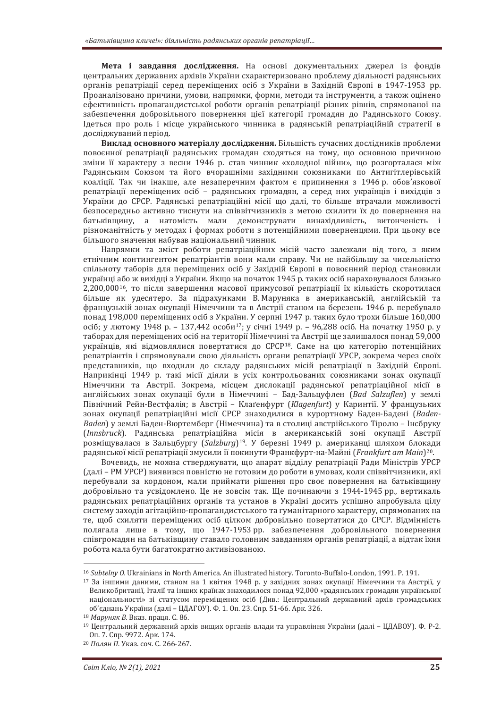**Мета і завдання дослідження.** На основі документальних джерел із фондів иентральних державних архівів України схарактеризовано проблему діяльності радянських органів репатріації серед переміщених осіб з України в Західній Європі в 1947-1953 рр. Проаналізовано причини, умови, напрямки, форми, методи та інструменти, а також оцінено ефективність пропагандистської роботи органів репатріації різних рівнів, спрямованої на забезпечення добровільного повернення цієї категорії громадян до Радянського Союзу. Цдеться про роль і місце українського чинника в радянській репатріаційній стратегії в досліджуваний період.

Виклад основного матеріалу дослідження. Більшість сучасних дослідників проблеми повоєнної репатріації радянських громадян сходяться на тому, що основною причиною зміни її характеру з весни 1946 р. став чинник «холодної війни», що розгорталася між Радянським Союзом та його вчорашніми захілними союзниками по Антигітлерівській коаліції. Так чи інакше, але незаперечним фактом є припинення з 1946 р. обов'язкової репатріації перемішених осіб – радянських громадян, а серед них українців і вихідців з України до СРСР. Радянські репатріаційні місії що далі, то більше втрачали можливості безпосередньо активно тиснути на співвітчизників з метою схилити їх до повернення на батьківщину, а натомість мали демонструвати винахідливість, витонченість і різноманітність у методах і формах роботи з потенційними поверненцями. При цьому все більшого значення набував національний чинник.

Напрямки та зміст роботи репатріаційних місій часто залежали від того, з яким етнічним контингентом репатріантів вони мали справу. Чи не найбільшу за чисельністю спільноту таборів для перемішених осіб у Західній Європі в повоєнний період становили vкраїнці або ж вихілці з України. Якщо на початок 1945 р. таких осіб нараховувалося близько 2,200,000<sup>16</sup>, то після завершення масової примусової репатріації їх кількість скоротилася більше як удесятеро. За підрахунками В. Маруняка в американській, англійській та французькій зонах окупації Німеччини та в Австрії станом на березень 1946 р. перебувало понад 198,000 переміщених осіб з України. У серпні 1947 р. таких було трохи більше 160,000 осіб; у лютому 1948 р. - 137,442 особи<sup>17</sup>; у січні 1949 р. - 96,288 осіб. На початку 1950 р. у таборах для переміщених осіб на території Німеччині та Австрії ще залишалося понад 59,000 українців, які відмовлялися повертатися до СРСР<sup>18</sup>. Саме на цю категорію потенційних репатріантів і спрямовували свою діяльність органи репатріації УРСР, зокрема через своїх представників, що входили до складу радянських місій репатріації в Західній Європі. Наприкінці 1949 р. такі місії ліяли в усіх контрольованих союзниками зонах окупації Німеччини та Австрії. Зокрема місцем лислокації ралянської репатріаційної місії в англійських зонах окупації були в Німеччині - Бад-Зальцуфлен (Bad Salzuflen) у землі Північний Рейн-Вестфалія; в Австрії - Клаґенфурт (Klagenfurt) у Каринтії. У французьких зонах окупації репатріаційні місії СРСР знаходилися в курортному Баден-Бадені (Baden-Baden) у землі Баден-Вюртемберг (Німеччина) та в столиці австрійського Тіролю - Інсбруку (Innsbruck). Радянська репатріаційна місія в американській зоні окупації Австрії розміщувалася в Зальцбургу (Salzburg)<sup>19</sup>. У березні 1949 р. американці шляхом блокади радянської місії репатріації змусили її покинути Франкфурт-на-Майні (Frankfurt am Main)<sup>20</sup>.

Вочевидь, не можна стверджувати, що апарат відділу репатріації Ради Міністрів УРСР (далі – РМ УРСР) виявився повністю не готовим до роботи в умовах, коли співвітчизники, які перебували за кордоном, мали приймати рішення про своє повернення на батьківщину добровільно та усвідомлено. Це не зовсім так. Ще починаючи з 1944-1945 рр., вертикаль уланнських репатріаційних органів та установ в Україні досить успішно апробувала цілу систему заходів агітаційно-пропагандистського та гуманітарного характеру, спрямованих на те, щоб схиляти переміщених осіб цілком добровільно повертатися до СРСР. Відмінність полягала лише в тому, що 1947-1953 рр. забезпечення добровільного повернення співгромадян на батьківщину ставало головним завданням органів репатріації, а відтак їхня робота мала бути багатократно активізованою.

<sup>&</sup>lt;sup>16</sup> *Subtelny O.* Ukrainians in North America. An illustrated history. Toronto-Buffalo-London, 1991. Р. 191. <sup>17</sup> За іншими даними, станом на 1 квітня 1948 р. у західних зонах окупації Німеччини та Австрії, у

Великобританії, Італії та інших країнах знаходилося понад 92,000 «радянських громадян української національності» зі статусом переміщених осіб (Див.: Центральний державний архів громадських об'єднань України (далі - ЦДАГОУ). Ф. 1. Оп. 23. Спр. 51-66. Арк. 326.

<sup>&</sup>lt;sup>18</sup> *Маруняк В.* Вказ. праця. С. 86.

 $19$  Центральний державний архів вищих органів влади та управління України (далі – ЦДАВОУ). Ф. Р-2. Οπ. 7. Cπp. 9972. Apk. 174.

<sup>&</sup>lt;sup>20</sup> Полян П. Указ. соч. С. 266-267.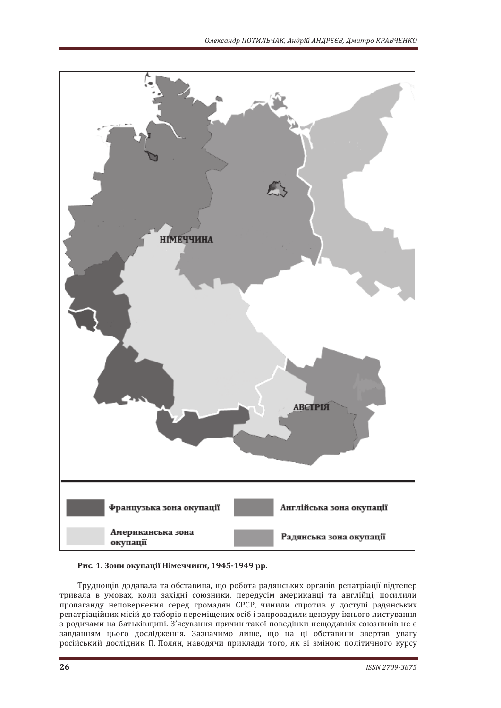

Рис. 1. Зони окупації Німеччини, 1945-1949 рр.

Трудношів додавала та обставина, що робота радянських органів репатріації відтепер тривала в умовах, коли західні союзники, передусім американці та англійці, посилили пропаганду неповернення серед громадян СРСР, чинили спротив у доступі радянських репатріаційних місій до таборів переміщених осіб і запровадили цензуру їхнього листування  $\cdot$ з родичами на батьківщині. З'ясування причин такої поведінки нещодавніх союзників не є завданням цього дослідження. Зазначимо лише, що на ці обставини звертав увагу російський дослідник П. Полян, наводячи приклади того, як зі зміною політичного курсу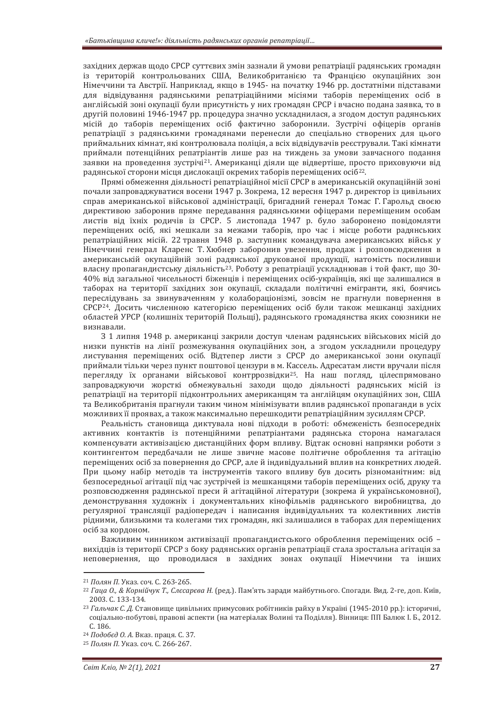західних держав щодо СРСР суттєвих змін зазнали й умови репатріації радянських громадян із територій контрольованих США. Великобританією та Францією окупаційних зон Німеччини та Австрії. Наприклад, якщо в 1945- на початку 1946 рр. достатніми підставами для відвідування радянськими репатріаційними місіями таборів переміщених осіб в англійській зоні окупації були присутність у них громадян СРСР і вчасно подана заявка, то в другій половині 1946-1947 рр. процедура значно ускладнилася, а згодом доступ радянських місій до таборів переміщених осіб фактично заборонили. Зустрічі офіцерів органів репатріації з радянськими громадянами перенесли до спеціально створених для цього приймальних кімнат, які контролювала поліція, а всіх відвідувачів реєстрували. Такі кімнати приймали потенційних репатріантів лише раз на тиждень за умови завчасного подання заявки на проведення зустрічі<sup>21</sup>. Американці діяли ще відвертіше, просто приховуючи від ралянської сторони місця лислокації окремих таборів перемішених осіб<sup>22</sup>.

Прямі обмеження ліяльності репатріаційної місії СРСР в американській окупаційній зоні почали запроваджуватися восени 1947 р. Зокрема, 12 вересня 1947 р. директор із цивільних справ американської військової адміністрації, бригадний генерал Томас Г. Гарольд своєю директивою заборонив пряме передавання радянськими офіцерами переміщеним особам листів від їхніх родичів із СРСР. 5 листопада 1947 р. було заборонено повідомляти переміщених осіб, які мешкали за межами таборів, про час і місце роботи радянських репатріаційних місій. 22 травня 1948 р. заступник командувача американських військ у Німеччині генерал Кларенс Т. Хюбнер заборонив увезення, продаж і розповсюдження в американській окупаційній зоні радянської друкованої продукції, натомість посиливши власну пропагандистську діяльність<sup>23</sup>. Роботу з репатріації ускладнював і той факт, що 30-40% від загальної чисельності біженців і переміщених осіб-українців, які ще залишалися в таборах на території західних зон окупації, складали політичні емігранти, які, боячись переслідувань за звинуваченням у колабораціонізмі, зовсім не прагнули повернення в СРСР<sup>24</sup>. Досить численною категорією переміщених осіб були також мешканці західних областей УРСР (колишніх територій Польщі), радянського громадянства яких союзники не визнавали.

З 1 липня 1948 р. американці закрили доступ членам радянських військових місій до низки пунктів на лінії розмежування окупаційних зон, а згодом ускладнили процедуру листування переміщених осіб. Відтепер листи з СРСР до американської зони окупації приймали тільки через пункт поштової цензури в м. Кассель. Адресатам листи вручали після перегляду їх органами військової контррозвідки<sup>25</sup>. На наш погляд, цілеспрямовано запроваджуючи жорсткі обмежувальні заходи щодо діяльності радянських місій із репатріації на території підконтрольних американцям та англійцям окупаційних зон, США та Великобританія прагнули таким чином мінімізувати вплив радянської пропаганди в усіх можливих її проявах, а також максимально перешкодити репатріаційним зусиллям СРСР.

Реальність становища диктувала нові підходи в роботі: обмеженість безпосередніх активних контактів із потенційними репатріантами радянська сторона намагалася компенсувати активізацією дистанційних форм впливу. Відтак основні напрямки роботи з контингентом передбачали не лише звичне масове політичне оброблення та агітацію переміщених осіб за повернення до СРСР, але й індивідуальний вплив на конкретних людей. При цьому набір методів та інструментів такого впливу був досить різноманітним: від безпосередньої агітації під час зустрічей із мешканцями таборів переміщених осіб, друку та розповсюдження радянської преси й агітаційної літератури (зокрема й українськомовної), •<br>лемонстоування художніх і документальних кінофільмів радянського виробництва, до регулярної трансляції радіопередач і написання індивідуальних та колективних листів рідними, близькими та колегами тих громадян, які залишалися в таборах для переміщених осіб за кордоном.

Важливим чинником активізації пропагандистського оброблення переміщених осіб вихідців із території СРСР з боку радянських органів репатріації стала зростальна агітація за неповернення, що проводилася в західних зонах окупації Німеччини та інших

<sup>&</sup>lt;sup>21</sup> Полян П. Указ. соч. С. 263-265.<br><sup>22</sup> Гаца О., & Корнійчук Т., Слесарева Н. (ред.). Пам'ять заради майбутнього. Спогади. Вид. 2-ге, доп. Київ, 2003. C. 133-134.

<sup>&</sup>lt;sup>23</sup> Гальчак С. Д. Становище цивільних примусових робітників райху в Україні (1945-2010 рр.): історичні, соціально-побутові, правові аспекти (на матеріалах Волині та Поділля). Вінниця: ПП Балюк І. Б., 2012. C. 186.

<sup>&</sup>lt;sup>24</sup> Подобєд О. А. Вказ. праця. С. 37.

<sup>&</sup>lt;sup>25</sup> Полян П. Указ. соч. С. 266-267.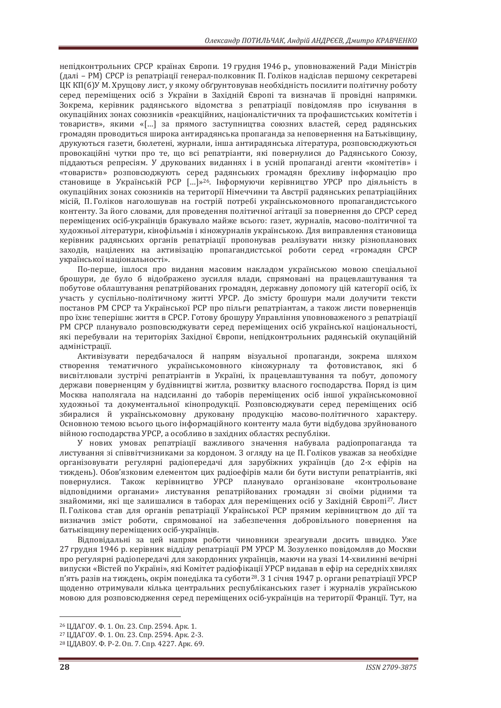непідконтрольних СРСР країнах Європи. 19 грудня 1946 р., уповноважений Ради Міністрів  $\alpha$ иалі – РМ) СРСР із репатріації генерал-полковник П. Голіков наліслав першому секретареві ЦК КП(б)У М. Хрущову лист, у якому обґрунтовував необхідність посилити політичну роботу серед переміщених осіб з України в Західній Європі та визначав її провідні напрямки. Зокрема, керівник радянського відомства з репатріації повідомляв про існування в окупаційних зонах союзників «реакційних, націоналістичних та профашистських комітетів і товариств», якими «[...] за прямого заступництва союзних властей, серед радянських громадян проводиться широка антирадянська пропаганда за неповернення на Батьківщину, друкуються газети, бюлетені, журнали, інша антирадянська література, розповсюджуються провокашйні чутки про те, що всі репатріанти, які повернулися до Радянського Союзу. піддаються репресіям. У друкованих виданнях і в усній пропаганді агенти «комітетів» і «товариств» розповсюджують серед радянських громадян брехливу інформацію про становише в Українській РСР [...]»<sup>26</sup>. Інформуючи керівництво УРСР про ліяльність в окупаційних зонах союзників на території Німеччини та Австрії радянських репатріаційних місій, П. Голіков натолошував на гострій потребі українськомовного пропагандистського контенту. За його словами, для проведення політичної агітації за повернення до СРСР серед переміщених осіб-українців бракувало майже всього: газет, журналів, масово-політичної та художньої літератури, кінофільмів і кіножурналів українською. Для виправлення становища керівник радянських органів репатріації пропонував реалізувати низку різнопланових заходів, націлених на активізацію пропагандистської роботи серед «громадян СРСР української національності».

По-перше, ішлося про видання масовим накладом українською мовою спеціальної брошури, де було б відображено зусилля влади, спрямовані на працевлаштування та побутове облаштування репатрійованих громадян, державну допомогу цій категорії осіб, їх участь у суспільно-політичному житті УРСР. До змісту брошури мали долучити тексти постанов РМ СРСР та Української РСР про пільги репатріантам, а також листи поверненців про їхнє теперішнє життя в СРСР. Готову брошуру Управління уповноваженого з репатріації РМ СРСР планувало розповсюджувати серед переміщених осіб української національності, які перебували на територіях Західної Європи, непідконтрольних радянській окупаційній алміністрації.

Активізувати передбачалося й напрям візуальної пропаганди, зокрема шляхом створення тематичного українськомовного кіножурналу та фотовиставок, які б висвітлювали зустрічі репатріантів в Україні, їх працевлаштування та побут, лопомогу держави поверненцям у булівництві житла, розвитку власного господарства. Поряд із цим Москва наполягала на надсиланні до таборів переміщених осіб іншої українськомовної художньої та документальної кінопродукції. Розповсюджувати серед переміщених осіб збиралися й українськомовну друковану продукцію масово-політичного характеру. Основною темою всього цього інформаційного контенту мала бути відбудова зруйнованого війною господарства УРСР, а особливо в західних областях республіки.

У нових умовах репатріації важливого значення набувала радіопропаганда та листування зі співвітчизниками за кордоном. З огляду на це П. Голіков уважав за необхідне організовувати регулярні радіопередачі для зарубіжних українців (до 2-х ефірів на тиждень). Обов'язковим елементом цих радіоефірів мали би бути виступи репатріантів, які повернулися. Також керівництво УРСР планувало організоване «контрольоване відповідними органами» листування репатрійованих громадян зі своїми рідними та знайомими, які ще залишалися в таборах для переміщених осіб у Західній Європі<sup>27</sup>. Лист П. Голікова став для органів репатріації Української РСР прямим керівництвом до дії та визначив зміст роботи, спрямованої на забезпечення добровільного повернення на батьківщину переміщених осіб-українців.

Вілповілальні за цей напрям роботи чиновники зреагували лосить швилко. Уже 27 грудня 1946 р. керівник відділу репатріації РМ УРСР М. Зозуленко повідомляв до Москви про регулярні радіопередачі для закордонних українців, маючи на увазі 14-хвилинні вечірні випуски «Вістей по Україні», які Комітет раліофікації УРСР вилавав в ефір на середніх хвилях п'ять разів на тиждень, окрім понелілка та суботи<sup>28</sup>. З 1 січня 1947 р. органи репатріації УРСР щоденно отримували кілька центральних республіканських газет і журналів українською мовою для розповсюдження серед перемішених осіб-українців на території Франції. Тут. на

<sup>&</sup>lt;sup>26</sup> ∐ΔΑΓΟΥ, Φ. 1, Οπ. 23, Спр. 2594, Арк. 1,

<sup>&</sup>lt;sup>27</sup> ЦДАГОУ. Ф. 1. Оп. 23. Спр. 2594. Арк. 2-3.<br><sup>28</sup> ЦДАВОУ. Ф. Р-2. Оп. 7. Спр. 4227. Арк. 69.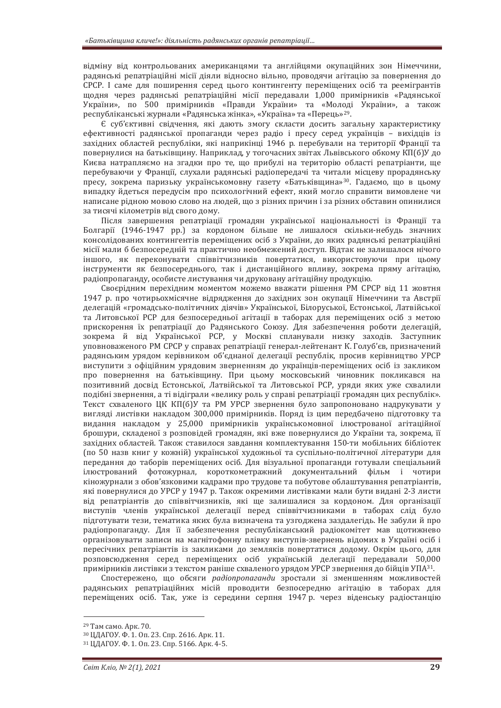відміну від контрольованих американцями та англійцями окупаційних зон Німеччини, ралянські репатріаційні місії ліяли вілносно вільно, проволячи агітацію за повернення до СРСР. I саме для поширення серед цього контингенту переміщених осіб та реемігрантів щодня через радянські репатріаційні місії передавали 1,000 примірників «Радянської України», по 500 примірників «Правди України» та «Молоді України», а також республіканські журнали «Радянська жінка», «Україна» та «Перець»<sup>29</sup>.

.<br>Є суб'єктивні свідчення, які дають змогу скласти досить загальну характеристику ефективності радянської пропаганди через радіо і пресу серед українців - вихідців із західних областей республіки, які наприкінці 1946 р. перебували на території Франції та повернулися на батьківщину. Наприклад, у тогочасних звітах Львівського обкому КП(б)У до Києва натрапляємо на згадки про те, що прибулі на територію області репатріанти, ще перебуваючи у Франції, слухали радянські радіопередачі та читали місцеву прорадянську пресу, зокрема паризьку українськомовну газету «Батьківшина»<sup>30</sup>. Галаємо, що в цьому випадку йдеться передусім про психологічний ефект, який могло справити вимовлене чи написане рідною мовою слово на людей, що з різних причин і за різних обставин опинилися за тисячі кілометрів від свого дому.

Після завершення репатріації громадян української національності із Франції та Болгарії (1946-1947 рр.) за кордоном більше не лишалося скільки-небудь значних консолідованих контингентів переміщених осіб з України, до яких радянські репатріаційні місії мали б безпосередній та практично необмежений доступ. Відтак не залишалося нічого іншого, як переконувати співвітчизників повертатися, використовуючи при цьому інструменти як безпосереднього, так і дистанційного впливу, зокрема пряму агітацію, радіопропаганду, особисте листування чи друковану агітаційну продукцію.

Своєрідним перехідним моментом можемо вважати рішення РМ СРСР від 11 жовтня 1947 р. про чотирьохмісячне відрядження до західних зон окупації Німеччини та Австрії делегацій «громадсько-політичних діячів» Української, Білоруської, Естонської, Латвійської та Литовської РСР для безпосередньої агітації в таборах для переміщених осіб з метою прискорення їх репатріації до Радянського Союзу. Для забезпечення роботи делегацій, зокрема й від Української РСР, у Москві спланували низку заходів. Заступник уповноваженого РМ СРСР у справах репатріації генерал-лейтенант К. Голуб'єв, призначений радянським урядом керівником об'єднаної делегації республік, просив керівництво УРСР виступити з офіційним урядовим зверненням до українців-переміщених осіб із закликом про повернення на батьківшину. При цьому московський чиновник покликався на позитивний лосвіл Естонської. Латвійської та Литовської РСР, уряли яких уже схвалили подібні звернення, а ті відіграли «велику роль у справі репатріації громадян цих республік». Текст схваленого ЦК КП(б)У та РМ УРСР звернення було запропоновано надрукувати у вигляді листівки накладом 300,000 примірників. Поряд із цим передбачено підготовку та видання накладом у 25,000 примірників українськомовної ілюстрованої агітаційної брошури, складеної з розповідей громадян, які вже повернулися до України та, зокрема, її західних областей. Також ставилося завдання комплектування 150-ти мобільних бібліотек (по 50 назв книг у кожній) української художньої та суспільно-політичної літератури для передання до таборів переміщених осіб. Для візуальної пропаганди готували спеціальний ілюстрований фотожурнал, короткометражний документальний фільм і чотири кіножурнали з обов'язковими кадрами про трудове та побутове облаштування репатріантів, які повернулися до УРСР у 1947 р. Також окремими листівками мали бути видані 2-3 листи від репатріантів до співвітчизників, які ще залишалися за кордоном. Для організації виступів членів української делегації перед співвітчизниками в таборах слід було підготувати тези, тематика яких була визначена та узгоджена заздалегідь. Не забули й про радіопропаганду. Для її забезпечення республіканський радіокомітет мав щотижнево організовувати записи на магнітофонну плівку виступів-звернень відомих в Україні осіб і пересічних репатріантів із закликами до земляків повертатися додому. Окрім цього, для розповсюдження серед переміщених осіб українській делегації передавали 50,000 примірників листівки з текстом раніше схваленого урядом УРСР звернення до бійців УПА<sup>31</sup>.

Спостережено, що обсяги *радіопропаганди* зростали зі зменшенням можливостей ралянських репатріаційних місій проволити безпосерелню агітацію в таборах лля переміщених осіб. Так, уже із середини серпня 1947 р. через віденську радіостанцію

<sup>29</sup> Там само. Арк. 70.

<sup>30</sup> ЦДАГОУ, Ф. 1, Оп. 23, Спр. 2616, Арк. 11.

<sup>31</sup> ЦДАГОУ, Ф. 1, Оп. 23, Спр. 5166, Арк. 4-5.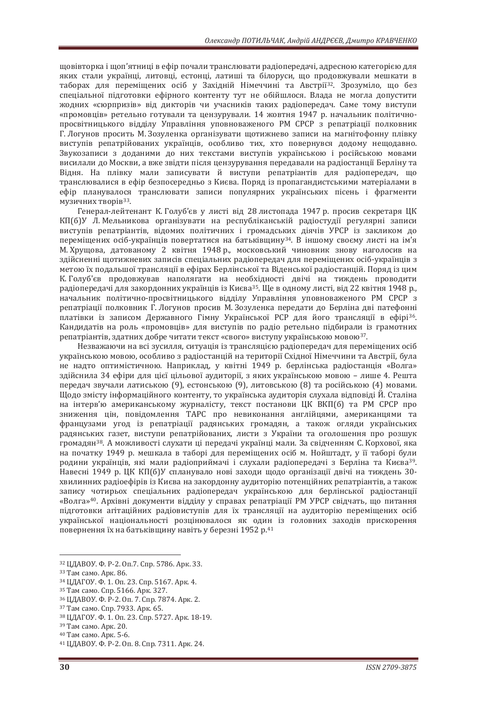щовівторка і щоп'ятниці в ефір почали транслювати радіопередачі, адресною категорією для яких стали українці, литовці, естонці, латиші та білоруси, що продовжували мешкати в таборах для переміщених осіб у Західній Німеччині та Австрії<sup>32</sup>. Зрозуміло, що без спеціальної підготовки ефірного контенту тут не обійшлося. Влада не могла допустити жодних «сюрпризів» від дикторів чи учасників таких радіопередач. Саме тому виступи «промовців» ретельно готували та цензурували. 14 жовтня 1947 р. начальник політичнолросвітницького відділу Управління уповноваженого РМ СРСР з репатріації полковник Г. Логунов просить М. Зозуленка організувати щотижнево записи на магнітофонну плівку виступів репатрійованих українців, особливо тих, хто повернувся додому нещодавно. Звукозаписи з лоланими ло них текстами виступів українською і російською мовами висилали до Москви, а вже звідти після цензурування передавали на радіостанції Берліну та Вілня. На плівку мали записувати й виступи репатріантів лля раліоперелач. що транслювалися в ефір безпосередньо з Києва. Поряд із пропагандистськими матеріалами в ефір планувалося транслювати записи популярних українських пісень і фрагменти  $MV3$ <sup> $33$ </sup>.

Генерал-лейтенант К. Голуб'єв у листі від 28 листопада 1947 р. просив секретаря ЦК КП(б)У Л. Мельникова організувати на республіканській радіостудії регулярні записи виступів репатріантів, відомих політичних і громадських діячів УРСР із закликом до переміщених осіб-українців повертатися на батьківщину<sup>34</sup>. В іншому своєму листі на ім'я М. Хрущова, датованому 2 квітня 1948 р., московський чиновник знову наголосив на здійсненні щотижневих записів спеціальних радіопередач для переміщених осіб-українців з метою їх подальшої трансляції в ефірах Берлінської та Віденської радіостанцій. Поряд із цим К. Голуб'єв продовжував наполягати на необхідності двічі на тиждень проводити радіопередачі для закордонних українців із Києва<sup>з5</sup>. Ще в одному листі, від 22 квітня 1948 р., начальник політично-просвітницького відділу Управління уповноваженого РМ СРСР з репатріації полковник Г. Логунов просив М. Зозуленка передати до Берліна дві патефонні платівки із записом Державного Гімну Української РСР для його трансляції в ефірі<sup>36</sup>. Кандидатів на роль «промовців» для виступів по радіо ретельно підбирали із грамотних репатріантів, здатних добре читати текст «свого» виступу українською мовою<sup>37</sup>.

Незважаючи на всі зусилля, ситуація із трансляцією радіопередач для переміщених осіб українською мовою, особливо з радіостанцій на території Східної Німеччини та Австрії, була не налто оптимістичною. Наприклал, у квітні 1949 р. берлінська раліостанція «Волга» злійснила 34 ефіри лля пієї пільової аулиторії, з яких українською мовою – лише 4. Решта передач звучали латиською (9), естонською (9), литовською (8) та російською (4) мовами. Щодо змісту інформаційного контенту, то українська аудиторія слухала відповіді Й. Сталіна на інтерв'ю американському журналісту, текст постанови ЦК ВКП(б) та РМ СРСР про зниження цін, повідомлення ТАРС про невиконання англійцями, американцями та французами угод із репатріації радянських громадян, а також огляди українських радянських газет, виступи репатрійованих, листи з України та оголошення про розшук громадян<sup>38</sup>. А можливості слухати ці передачі українці мали. За свідченням С. Корхової, яка на початку 1949 р. мешкала в таборі для переміщених осіб м. Нойштадт, у її таборі були родини українців, які мали радіоприймачі і слухали радіопередачі з Берліна та Києва<sup>з9</sup>. Навесні 1949 р. ЦК КП(б)У спланувало нові заходи щодо організації двічі на тиждень 30хвилинних радіоефірів із Києва на закордонну аудиторію потенційних репатріантів, а також запису чотирьох спеціальних радіопередач українською для берлінської радіостанції «Волга»<sup>40</sup>. Архівні документи відділу у справах репатріації РМ УРСР свідчать, що питання підготовки агітаційних радіовиступів для їх трансляції на аудиторію переміщених осіб української національності розцінювалося як один із головних заходів прискорення  $\overline{1}$ повернення їх на батьківщину навіть у березні 1952 р.<sup>41</sup>

<sup>32</sup> ЦДАВОУ. Ф. Р-2. Оп.7. Спр. 5786. Арк. 33.

<sup>&</sup>lt;sup>33</sup> Там само. Арк. 86.

<sup>34</sup> ЦДАГОУ. Ф. 1. Оп. 23. Спр. 5167. Арк. 4.

<sup>35</sup> Там само. Спр. 5166. Арк. 327.

<sup>36</sup> ЦДАВОУ. Ф. Р-2. Оп. 7. Спр. 7874. Арк. 2.

<sup>&</sup>lt;sup>37</sup> Там само. Спр. 7933. Арк. 65.

<sup>38</sup> ЦДАГОУ. Ф. 1. Оп. 23. Спр. 5727. Арк. 18-19. 39 Там само. Арк. 20.

<sup>40</sup> Там само. Арк. 5-6.

<sup>41</sup> ΠΛΑΒΟΥ, Φ. Ρ-2, Οπ. 8, Спр. 7311, Арк. 24.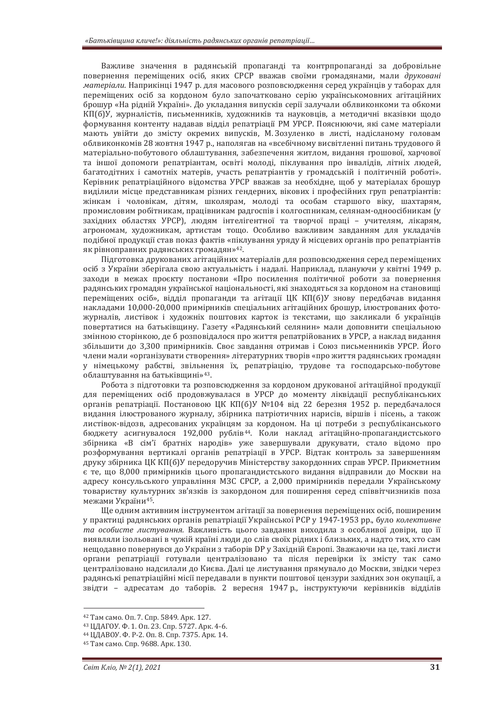Важливе значення в радянській пропаганді та контрпропаганді за добровільне повернення переміщених осіб, яких СРСР вважав своїми громадянами, мали друковані *матеріали*. Наприкінці 1947 р. для масового розповсюдження серед українців у таборах для переміщених осіб за кордоном було започатковано серію українськомовних агітаційних брошур «На рідній Україні». До укладання випусків серії залучали облвиконкоми та обкоми КП(6)У, журналістів, письменників, художників та науковців, а методичні вказівки щодо формування контенту надавав відділ репатріації РМ УРСР. Пояснюючи, які саме матеріали иають увійти до змісту окремих випусків, М. Зозуленко в листі, надісланому головам облвиконкомів 28 жовтня 1947 р., наполягав на «всебічному висвітленні питань трудового й матеріально-побутового облаштування, забезпечення житлом, видання грошової, харчової та іншої допомоги репатріантам, освіті молоді, піклування про інвалідів, літніх людей, багатолітних і самотніх матерів, участь репатріантів у громалській і політичній роботі». Керівник репатріаційного віломства УРСР вважав за необхілне, щоб у матеріалах брошур виділили місце представникам різних гендерних, вікових і професійних груп репатріантів: жінкам і чоловікам, дітям, школярам, молоді та особам старшого віку, шахтарям, промисловим робітникам, працівникам радгоспів і колгоспникам, селянам-одноосібникам (у західних областях УРСР), людям інтелігентної та творчої праці – учителям, лікарям, агрономам, художникам, артистам тощо. Особливо важливим завданням для укладачів подібної продукції став показ фактів «піклування уряду й місцевих органів про репатріантів як рівноправних радянських громадян»<sup>42</sup>.

Підготовка друкованих агітаційних матеріалів для розповсюдження серед переміщених осіб з України зберігала свою актуальність і надалі. Наприклад, плануючи у квітні 1949 р. заходи в межах проєкту постанови «Про посилення політичної роботи за повернення радянських громадян української національності, які знаходяться за кордоном на становищі лереміщених осіб», відділ пропаганди та агітації ЦК КП(б)У знову передбачав видання накладами 10,000-20,000 примірників спеціальних агітаційних брошур, ілюстрованих фотожурналів, листівок і художніх поштових карток із текстами, що закликали б українців повертатися на батьківщину. Газету «Радянський селянин» мали доповнити спеціальною змінною сторінкою, де б розповідалося про життя репатрійованих в УРСР, а наклад видання збільшити до 3,300 примірників. Своє завдання отримав і Союз письменників УРСР. Його члени мали «організувати створення» літературних творів «про життя радянських громадян у німецькому рабстві, звільнення їх, репатріацію, трудове та господарсько-побутове облаштування на батьківшині»<sup>43</sup>.

Робота з підготовки та розповсюдження за кордоном друкованої агітаційної продукції для переміщених осіб продовжувалася в УРСР до моменту ліквідації республіканських органів репатріації. Постановою ЦК КП(б)У №104 від 22 березня 1952 р. передбачалося видання ілюстрованого журналу, збірника патріотичних нарисів, віршів і пісень, а також листівок-відозв, адресованих українцям за кордоном. На ці потреби з республіканського бюджету асигнувалося 192,000 рублів<sup>44</sup>. Коли наклад агітаційно-пропагандистського збірника «В сім'ї братніх народів» уже завершували друкувати, стало відомо про розформування вертикалі органів репатріації в УРСР. Відтак контроль за завершенням друку збірника ЦК КП(б)У передоручив Міністерству закордонних справ УРСР. Прикметним  $\epsilon$  те, що 8,000 примірників цього пропагандистського видання відправили до Москви на адресу консульського управління МЗС СРСР, а 2,000 примірників передали Українському товариству культурних зв'язків із закордоном для поширення серед співвітчизників поза межами України<sup>45</sup>.

Ще одним активним інструментом агітації за повернення переміщених осіб, поширеним у практиці радянських органів репатріації Української РСР у 1947-1953 рр., було колективне та особисте листування. Важливість цього завдання виходила з особливої довіри, що її виявляли ізольовані в чужій країні люди до слів своїх рідних і близьких, а надто тих, хто сам нещодавно повернувся до України з таборів DP у Західній Європі. Зважаючи на це, такі листи органи репатріації готували централізовано та після перевірки їх змісту так само централізовано надсилали до Києва. Далі це листування прямувало до Москви, звідки через радянські репатріаційні місії передавали в пункти поштової цензури західних зон окупації, а звідти – адресатам до таборів. 2 вересня 1947 р., інструктуючи керівників відділів

<sup>42</sup> Там само. Оп. 7. Спр. 5849. Арк. 127.

<sup>43</sup> ЦДАГОУ. Ф. 1. Оп. 23. Спр. 5727. Арк. 4-6.

<sup>44</sup> ΠΛΑΒΟΥ, Φ. Ρ-2, Οπ. 8, Спр. 7375, Арк. 14,

<sup>45</sup> Там само. Спр. 9688. Арк. 130.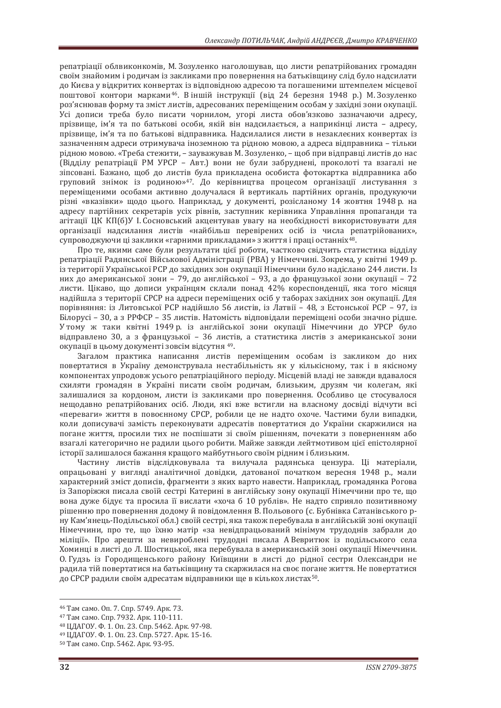репатріації облвиконкомів, М. Зозуленко наголошував, що листи репатрійованих громадян своїм знайомим і родичам із закликами про повернення на батьківшину слід було надсилати до Києва у відкритих конвертах із відповідною адресою та погашеними штемпелем місцевої поштової контори марками<sup>46</sup>. Віншій інструкції (від 24 березня 1948 р.) М. Зозуленко роз'яснював форму та зміст листів, адресованих переміщеним особам у західні зони окупації. Усі дописи треба було писати чорнилом, угорі листа обов'язково зазначаючи адресу, прізвище, ім'я та по батькові особи, якій він надсилається, а наприкінці листа - адресу, прізвище, ім'я та по батькові відправника. Надсилалися листи в незаклеєних конвертах із зазначенням адреси отримувача іноземною та рідною мовою, а адреса відправника - тільки рідною мовою. «Треба стежити. – зауважував М. Зозуленко. – шоб при відправці листів до нас (Відділу репатріації РМ УРСР - Авт.) вони не були забруднені, проколоті та взагалі не зіпсовані. Бажано, шоб ло листів була приклалена особиста фотокартка вілправника або груповий знімок із родиною»<sup>47</sup>. До керівництва процесом організації листування з переміщеними особами активно долучалася й вертикаль партійних органів, продукуючи різні «вказівки» щодо цього. Наприклад, у документі, розісланому 14 жовтня 1948 р. на адресу партійних секретарів усіх рівнів, заступник керівника Управління пропаганди та агітації ЦК КП(б)У І. Сосновський акцентував увагу на необхідності використовувати для організації надсилання листів «найбільш перевірених осіб із числа репатрійованих», супроводжуючи ці заклики «гарними прикладами» з життя і праці останніх<sup>48</sup>.

Про те, якими саме були результати цієї роботи, частково свідчить статистика відділу репатріації Радянської Військової Адміністрації (РВА) у Німеччині. Зокрема, у квітні 1949 р. із території Української РСР до західних зон окупації Німеччини було надіслано 244 листи. Із них до американської зони – 79, до англійської – 93, а до французької зони окупації – 72 листи. Шікаво, що дописи українцям склали понад 42% кореспонденції, яка того місяця надійшла з території СРСР на адреси переміщених осіб у таборах західних зон окупації. Для порівняння: із Литовської РСР надійшло 56 листів, із Латвії - 48, з Естонської РСР - 97, із Білорусі – 30, а з РРФСР – 35 листів. Натомість відповідали переміщені особи значно рідше. Утому ж таки квітні 1949 р. із англійської зони окупації Німеччини до УРСР було відправлено 30, а з французької – 36 листів, а статистика листів з американської зони окупації в цьому документі зовсім відсутня 49.

Загалом практика написання листів переміщеним особам із закликом до них повертатися в Україну демонструвала нестабільність як у кількісному, так і в якісному компонентах упродовж усього репатріаційного періоду. Місцевій владі не завжди вдавалося схиляти громадян в Україні писати своїм родичам, близьким, друзям чи колегам, які залишалися за кордоном, листи із закликами про повернення. Особливо це стосувалося нещодавно репатрійованих осіб. Люди, які вже встигли на власному досвіді відчути всі «переваги» життя в повоєнному СРСР, робили це не надто охоче. Частими були випадки, коли дописувачі замість переконувати адресатів повертатися до України скаржилися на погане життя, просили тих не поспішати зі своїм рішенням, почекати з поверненням або взагалі категорично не радили цього робити. Майже завжди лейтмотивом цієї епістолярної icторії залишалося бажання кращого майбутнього своїм рідним і близьким.

Частину листів відслідковувала та вилучала радянська цензура. Ці матеріали, опрацьовані у вигляді аналітичної довідки, датованої початком вересня 1948 р., мали характерний зміст дописів, фрагменти з яких варто навести. Наприклад, громадянка Рогова із Запоріжжя писала своїй сестрі Катерині в англійську зону окупації Німеччини про те, що вона дуже бідує та просила її вислати «хоча б 10 рублів». Не надто сприяло позитивному рішенню про повернення додому й повідомлення В. Польового (с. Бубнівка Сатанівського рну Кам'янець-Подільської обл.) своїй сестрі, яка також перебувала в англійській зоні окупації Німеччини, про те, що їхню матір «за невідпрацьований мінімум трудоднів забрали до міліції». Про арешти за невироблені трудодні писала АВевритюк із подільського села Хоминці в листі до Л. Шостицької, яка перебувала в американській зоні окупації Німеччини. О. Гудзь із Городищенського району Київщини в листі до рідної сестри Олександри не ралила тій повертатися на батьківшину та скаржилася на своє погане життя. Не повертатися до СРСР радили своїм адресатам відправники ще в кількох листах<sup>50</sup>.

<sup>46</sup> Там само. Оп. 7. Спр. 5749. Арк. 73.

<sup>47</sup> Там само. Спр. 7932. Арк. 110-111.

<sup>48</sup> ЦДАГОУ. Ф. 1. Оп. 23. Спр. 5462. Арк. 97-98.

<sup>&</sup>lt;sup>49</sup> ЦДАГОУ. Ф. 1. Оп. 23. Спр. 5727. Арк. 15-16.<br><sup>50</sup> Там само. Спр. 5462. Арк. 93-95.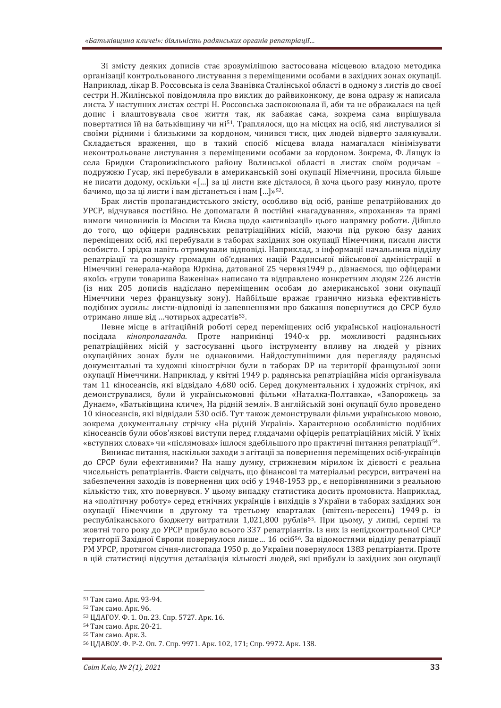Зі змісту деяких дописів стає зрозумілішою застосована місцевою владою методика організації контрольованого листування з перемішеними особами в західних зонах окупації. Наприклад, лікар В. Россовська із села Званівка Сталінської області в одному з листів до своєї сестри Н. Жилінської повідомляла про виклик до райвиконкому, де вона одразу ж написала листа. У наступних листах сестрі Н. Россовська заспокоювала її, аби та не ображалася на цей допис і влаштовувала своє життя так, як забажає сама, зокрема сама вирішувала повертатися їй на батьківщину чи ні<sup>51</sup>. Траплялося, що на місцях на осіб, які листувалися зі своїми рідними і близькими за кордоном, чинився тиск, цих людей відверто залякували. Складається враження, що в такий спосіб місцева влада намагалася мінімізувати неконтрольоване листування з переміщеними особами за кордоном. Зокрема, Ф. Лящук із села Бридки Старовижівського району Волинської області в листах своїм родичам полружжю Гусар, які перебували в американській зоні окупації Німеччини, просила більше не писати додому, оскільки «[...] за ці листи вже дісталося, й хоча цього разу минуло, проте бачимо, що за ці листи і вам дістанеться і нам [...]»<sup>52</sup>.

Брак листів пропагандистського змісту, особливо від осіб, раніше репатрійованих до УРСР, відчувався постійно. Не допомагали й постійні «нагадування», «прохання» та прямі вимоги чиновників із Москви та Києва щодо «активізації» цього напрямку роботи. Дійшло до того, що офіцери радянських репатріаційних місій, маючи під рукою базу даних переміщених осіб, які перебували в таборах західних зон окупації Німеччини, писали листи особисто. І зрідка навіть отримували відповіді. Наприклад, з інформації начальника відділу репатріації та розшуку громадян об'єднаних націй Радянської військової адміністрації в Німеччині генерала-майора Юркіна, датованої 25 червня 1949 р., дізнаємося, що офіцерами якоїсь «групи товариша Важеніна» написано та відправлено конкретним людям 226 листів (із них 205 дописів надіслано переміщеним особам до американської зони окупації Німеччини через французьку зону). Найбільше вражає гранично низька ефективність подібних зусиль: листи-відповіді із запевненнями про бажання повернутися до СРСР було отримано лише від ...чотирьох адресатів<sup>53</sup>.

Певне місце в агітаційній роботі серед переміщених осіб української національності посідала кінопропаганда. Проте наприкінці 1940-х рр. можливості радянських репатріаційних місій у застосуванні цього інструменту впливу на людей у різних окупаційних зонах були не однаковими. Найдоступнішими для перегляду радянські документальні та художні кінострічки були в таборах DP на території французької зони окупації Німеччини. Наприклал. у квітні 1949 р. радянська репатріаційна місія організувала там 11 кіносеансів, які відвідало 4,680 осіб. Серед документальних і художніх стрічок, які демонструвалися, були й українськомовні фільми «Наталка-Полтавка», «Запорожець за Дунаєм», «Батьківщина кличе», На рідній землі». В англійській зоні окупації було проведено 10 кіносеансів, які відвідали 530 осіб. Тут також демонстрували фільми українською мовою, зокрема документальну стрічку «На рідній Україні». Характерною особливістю подібних кіносеансів були обов'язкові виступи перед глядачами офіцерів репатріаційних місій. У їхніх «вступних словах» чи «післямовах» ішлося здебільшого про практичні питання репатріації<sup>54</sup>.

Виникає питання, наскільки заходи з агітації за повернення переміщених осіб-українців до СРСР були ефективними? На нашу думку, стрижневим мірилом їх дієвості є реальна чисельність репатріантів. Факти свідчать, що фінансові та матеріальні ресурси, витрачені на забезпечення заходів із повернення цих осіб у 1948-1953 рр., є непорівнянними з реальною кількістю тих, хто повернувся. У цьому випадку статистика досить промовиста. Наприклад, на «політичну роботу» серед етнічних українців і вихідців з України в таборах західних зон окупації Німеччини в другому та третьому кварталах (квітень-вересень) 1949 р. із республіканського бюджету витратили 1,021,800 рублів<sup>55</sup>. При цьому, у липні, серпні та жовтні того року до УРСР прибуло всього 337 репатріантів. Із них із непідконтрольної СРСР території Західної Європи повернулося лише... 16 осіб<sup>56</sup>. За відомостями відділу репатріації РМ УРСР, протягом січня-листопада 1950 р. до України повернулося 1383 репатріанти. Проте в цій статистиці відсутня деталізація кількості людей, які прибули із західних зон окупації

<sup>51</sup> Там само. Арк. 93-94.

<sup>52</sup> Там само. Арк. 96.

<sup>53</sup> ЦДАГОУ. Ф. 1. Оп. 23. Спр. 5727. Арк. 16.

<sup>54</sup> Там само. Арк. 20-21.<br><sup>55</sup> Там само. Арк. 3.

<sup>&</sup>lt;sup>56</sup> ΠΛΑΒΟΥ, Φ. Ρ-2, Οπ. 7, Спр. 9971, Αрк. 102, 171; Спр. 9972, Арк. 138.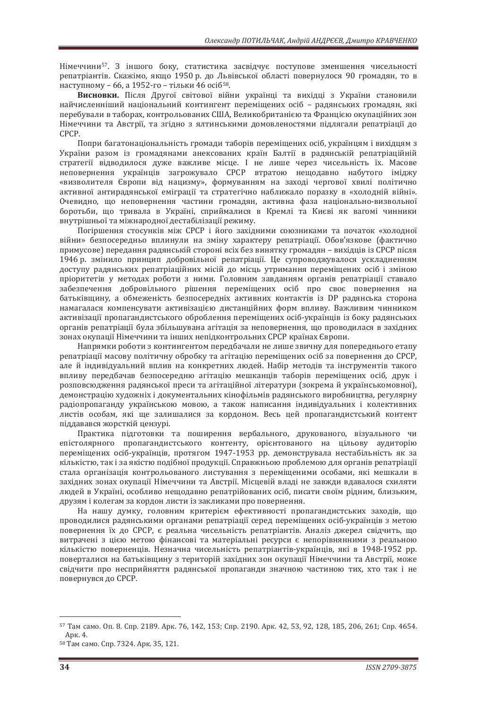Німеччини<sup>57</sup>. З іншого боку, статистика засвідчує поступове зменшення чисельності репатріантів. Скажімо, якщо 1950 р. до Львівської області повернулося 90 громадян, то в наступному – 66, а 1952-го – тільки 46 осіб<sup>58</sup>.

Висновки. Після Другої світової війни українці та вихідці з України становили найчисленніший національний контингент переміщених осіб - радянських громадян, які перебували в таборах, контрольованих США, Великобританією та Францією окупаційних зон Німеччини та Австрії, та згідно з ялтинськими домовленостями підлягали репатріації до CPCP.

Попри багатонаціональність громади таборів переміщених осіб, українцям і вихідцям з України разом із громалянами анексованих країн Балтії в ралянській репатріаційній стратегії відводилося дуже важливе місце. І не лише через чисельність їх. Масове неповернення українців загрожувало СРСР втратою нешолавно набутого імілжу «визволителя Європи від нацизму», формуванням на заході чергової хвилі політично активної антирадянської еміграції та стратегічно наближало поразку в «холодній війні». Очевидно, що неповернення частини громадян, активна фаза національно-визвольної боротьби, що тривала в Україні, сприймалися в Кремлі та Києві як вагомі чинники внутрішньої та міжнародної дестабілізації режиму.

Погіршення стосунків між СРСР і його західними союзниками та початок «холодної війни» безпосередньо вплинули на зміну характеру репатріації. Обов'язкове (фактично примусове) передання радянській стороні всіх без винятку громадян – вихідців із СРСР після 1946 р. змінило принцип добровільної репатріації. Це супроводжувалося ускладненням лоступу радянських репатріаційних місій до місць утримання перемішених осіб і зміною пріоритетів у методах роботи з ними. Головним завданням органів репатріації ставало забезпечення добровільного рішення переміщених осіб про своє повернення на батьківщину, а обмеженість безпосередніх активних контактів із DP радянська сторона намагалася компенсувати активізацією дистанційних форм впливу. Важливим чинником активізації пропагандистського оброблення переміщених осіб-українців із боку радянських органів репатріації була збільшувана агітація за неповернення, що проводилася в західних зонах окупації Німеччини та інших непідконтрольних СРСР країнах Європи.

Напрямки роботи з контингентом передбачали не лише звичну для попереднього етапу репатріації масову політичну обробку та агітацію переміщених осіб за повернення до СРСР. але й індивідуальний вплив на конкретних людей. Набір методів та інструментів такого впливу перелбачав безпосерелню arirauiю мешканців таборів перемішених осіб, лрук і розповсюлження ралянської преси та агітаційної літератури (зокрема й українськомовної). демонстрацію художніх і документальних кінофільмів радянського виробництва, регулярну радіопропаганду українською мовою, а також написання індивідуальних і колективних листів особам, які ще залишалися за кордоном. Весь цей пропагандистський контент піддавався жорсткій цензурі.

Практика підготовки та поширення вербального, друкованого, візуального чи епістолярного пропагандистського контенту, орієнтованого на цільову аудиторію переміщених осіб-українців, протягом 1947-1953 рр. демонструвала нестабільність як за кількістю, так і за якістю подібної продукції. Справжньою проблемою для органів репатріації стала організація контрольованого листування з перемішеними особами, які мешкали в західних зонах окупації Німеччини та Австрії. Місцевій владі не завжди вдавалося схиляти людей в Україні, особливо нещодавно репатрійованих осіб, писати своїм рідним, близьким, друзям і колегам за кордон листи із закликами про повернення.

На нашу думку, головним критерієм ефективності пропагандистських заходів, що проводилися радянськими органами репатріації серед переміщених осіб-українців з метою повернення їх до СРСР, є реальна чисельність репатріантів. Аналіз джерел свідчить, що витрачені з цією метою фінансові та матеріальні ресурси є непорівнянними з реальною кількістю поверненців. Незначна чисельність репатріантів-українців, які в 1948-1952 рр. поверталися на батьківшину з територій захілних зон окупації Німеччини та Австрії, може свідчити про несприйняття радянської пропаганди значною частиною тих, хто так і не повернувся до СРСР.

<sup>57</sup> Там само. Оп. 8. Спр. 2189. Арк. 76, 142, 153; Спр. 2190. Арк. 42, 53, 92, 128, 185, 206, 261; Спр. 4654. Anκ 4

<sup>&</sup>lt;sup>58</sup> Там само. Спр. 7324. Арк. 35, 121.